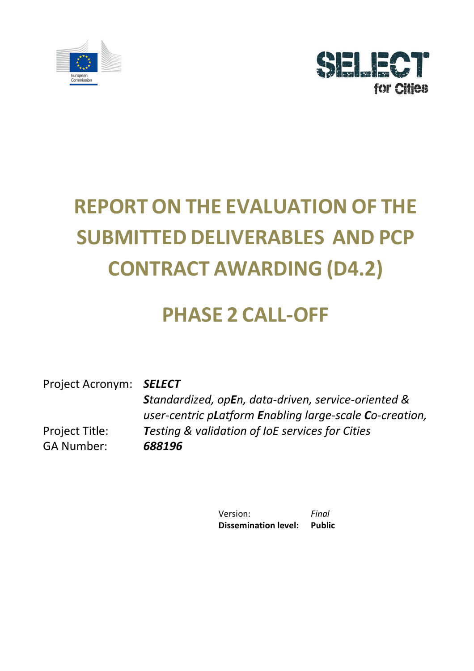



# **REPORT ON THE EVALUATION OF THE SUBMITTED DELIVERABLES AND PCP CONTRACT AWARDING (D4.2)**

## **PHASE 2 CALL-OFF**

Project Acronym: *SELECT* Project Title: *Standardized, opEn, data-driven, service-oriented & user-centric pLatform Enabling large-scale Co-creation, Testing & validation of IoE services for Cities* GA Number: *688196*

> Version: *Final* **Dissemination level: Public**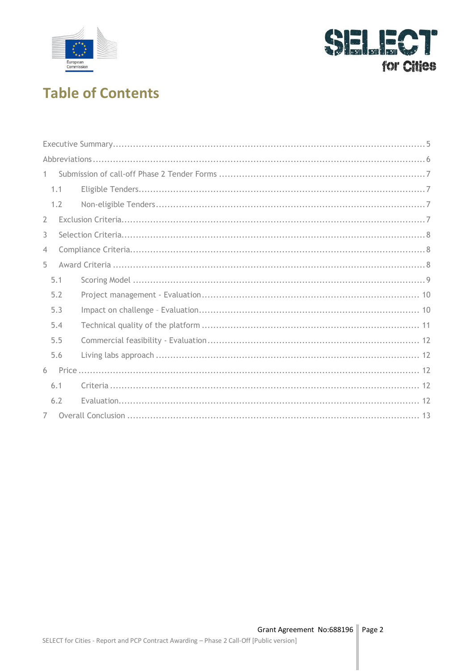



### **Table of Contents**

| $\mathbf{1}$   |     |  |
|----------------|-----|--|
|                | 1.1 |  |
|                | 1.2 |  |
| $\overline{2}$ |     |  |
| 3              |     |  |
| $\overline{4}$ |     |  |
| 5              |     |  |
|                | 5.1 |  |
|                | 5.2 |  |
|                | 5.3 |  |
|                | 5.4 |  |
|                | 5.5 |  |
|                | 5.6 |  |
| 6              |     |  |
|                | 6.1 |  |
|                | 6.2 |  |
| 7              |     |  |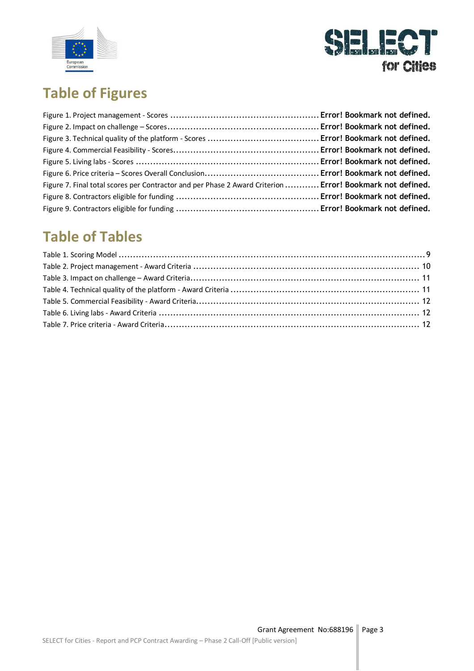



### **Table of Figures**

| Figure 7. Final total scores per Contractor and per Phase 2 Award Criterion  Error! Bookmark not defined. |  |
|-----------------------------------------------------------------------------------------------------------|--|
|                                                                                                           |  |
|                                                                                                           |  |

### **Table of Tables**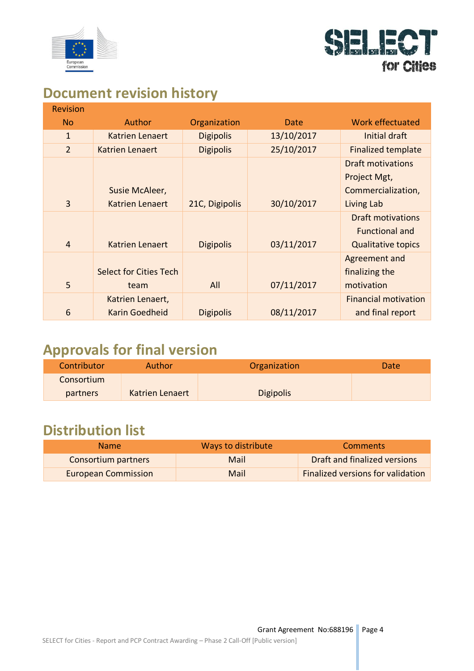



#### **Document revision history**

| <b>Revision</b> |                               |                  |            |                             |
|-----------------|-------------------------------|------------------|------------|-----------------------------|
| <b>No</b>       | <b>Author</b>                 | Organization     | Date       | Work effectuated            |
| $\mathbf{1}$    | <b>Katrien Lenaert</b>        | <b>Digipolis</b> | 13/10/2017 | Initial draft               |
| $\overline{2}$  | Katrien Lenaert               | <b>Digipolis</b> | 25/10/2017 | <b>Finalized template</b>   |
|                 |                               |                  |            | Draft motivations           |
|                 |                               |                  |            | Project Mgt,                |
|                 | Susie McAleer,                |                  |            | Commercialization,          |
| $\overline{3}$  | <b>Katrien Lenaert</b>        | 21C, Digipolis   | 30/10/2017 | Living Lab                  |
|                 |                               |                  |            | <b>Draft motivations</b>    |
|                 |                               |                  |            | <b>Functional and</b>       |
| 4               | Katrien Lenaert               | <b>Digipolis</b> | 03/11/2017 | <b>Qualitative topics</b>   |
|                 |                               |                  |            | Agreement and               |
|                 | <b>Select for Cities Tech</b> |                  |            | finalizing the              |
| 5               | team                          | All              | 07/11/2017 | motivation                  |
|                 | Katrien Lenaert,              |                  |            | <b>Financial motivation</b> |
| 6               | <b>Karin Goedheid</b>         | <b>Digipolis</b> | 08/11/2017 | and final report            |

### **Approvals for final version**

| Contributor     | Author          | Organization     | Date <sup>®</sup> |
|-----------------|-----------------|------------------|-------------------|
| Consortium      |                 |                  |                   |
| <b>partners</b> | Katrien Lenaert | <b>Digipolis</b> |                   |

### **Distribution list**

| Name <sup>1</sup>          | Ways to distribute | <b>Comments</b>                   |
|----------------------------|--------------------|-----------------------------------|
| Consortium partners        | Mail               | Draft and finalized versions      |
| <b>European Commission</b> | Mail               | Finalized versions for validation |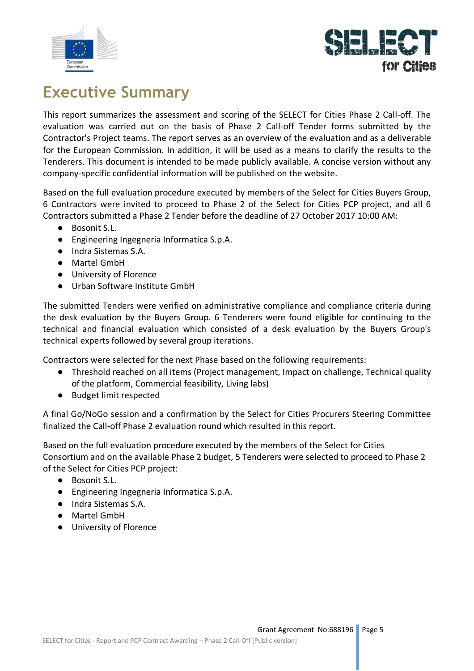



### **Executive Summary**

This report summarizes the assessment and scoring of the SELECT for Cities Phase 2 Call-off. The evaluation was carried out on the basis of Phase 2 Call-off Tender forms submitted by the Contractor's Project teams. The report serves as an overview of the evaluation and as a deliverable for the European Commission. In addition, it will be used as a means to clarify the results to the Tenderers. This document is intended to be made publicly available. A concise version without any company-specific confidential information will be published on the website.

Based on the full evaluation procedure executed by members of the Select for Cities Buyers Group, 6 Contractors were invited to proceed to Phase 2 of the Select for Cities PCP project, and all 6 Contractors submitted a Phase 2 Tender before the deadline of 27 October 2017 10:00 AM:

- Bosonit S.L.
- Engineering Ingegneria Informatica S.p.A.
- Indra Sistemas S.A.
- Martel GmbH
- University of Florence
- Urban Software Institute GmbH

The submitted Tenders were verified on administrative compliance and compliance criteria during the desk evaluation by the Buyers Group. 6 Tenderers were found eligible for continuing to the technical and financial evaluation which consisted of a desk evaluation by the Buyers Group's technical experts followed by several group iterations.

Contractors were selected for the next Phase based on the following requirements:

- Threshold reached on all items (Project management, Impact on challenge, Technical quality of the platform, Commercial feasibility, Living labs)
- Budget limit respected

A final Go/NoGo session and a confirmation by the Select for Cities Procurers Steering Committee finalized the Call-off Phase 2 evaluation round which resulted in this report.

Based on the full evaluation procedure executed by the members of the Select for Cities Consortium and on the available Phase 2 budget, 5 Tenderers were selected to proceed to Phase 2 of the Select for Cities PCP project:

- Bosonit S.L.
- Engineering Ingegneria Informatica S.p.A.
- Indra Sistemas S.A.
- Martel GmbH
- University of Florence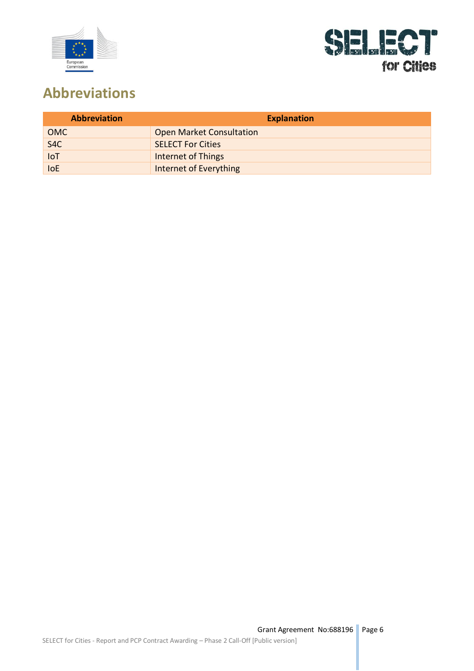



### **Abbreviations**

| <b>Abbreviation</b> | <b>Explanation</b>              |
|---------------------|---------------------------------|
| <b>OMC</b>          | <b>Open Market Consultation</b> |
| S <sub>4</sub> C    | <b>SELECT For Cities</b>        |
| <b>IoT</b>          | <b>Internet of Things</b>       |
| <b>IoE</b>          | Internet of Everything          |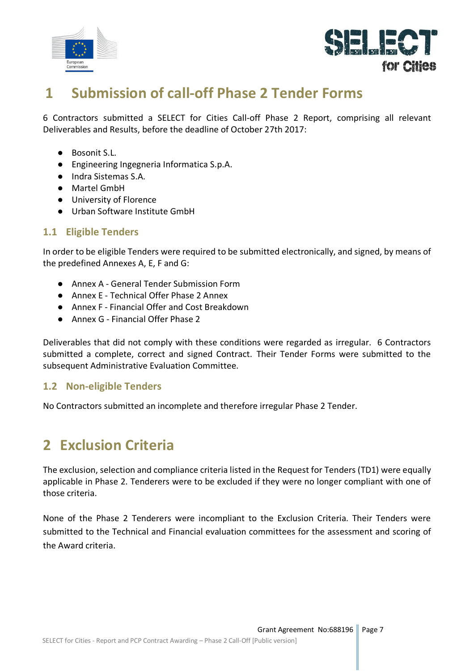



#### **1 Submission of call-off Phase 2 Tender Forms**

6 Contractors submitted a SELECT for Cities Call-off Phase 2 Report, comprising all relevant Deliverables and Results, before the deadline of October 27th 2017:

- Bosonit S.L.
- Engineering Ingegneria Informatica S.p.A.
- Indra Sistemas S.A.
- Martel GmbH
- University of Florence
- Urban Software Institute GmbH

#### **1.1 Eligible Tenders**

In order to be eligible Tenders were required to be submitted electronically, and signed, by means of the predefined Annexes A, E, F and G:

- Annex A General Tender Submission Form
- Annex E Technical Offer Phase 2 Annex
- Annex F Financial Offer and Cost Breakdown
- Annex G Financial Offer Phase 2

Deliverables that did not comply with these conditions were regarded as irregular. 6 Contractors submitted a complete, correct and signed Contract. Their Tender Forms were submitted to the subsequent Administrative Evaluation Committee.

#### **1.2 Non-eligible Tenders**

No Contractors submitted an incomplete and therefore irregular Phase 2 Tender.

### **2 Exclusion Criteria**

The exclusion, selection and compliance criteria listed in the Request for Tenders (TD1) were equally applicable in Phase 2. Tenderers were to be excluded if they were no longer compliant with one of those criteria.

None of the Phase 2 Tenderers were incompliant to the Exclusion Criteria. Their Tenders were submitted to the Technical and Financial evaluation committees for the assessment and scoring of the Award criteria.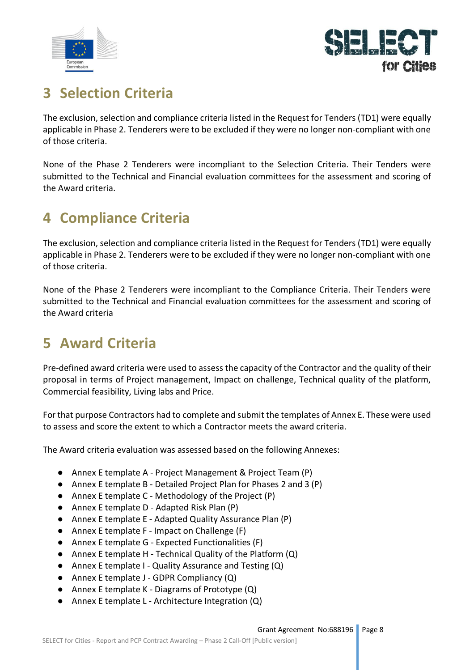



### **3 Selection Criteria**

The exclusion, selection and compliance criteria listed in the Request for Tenders (TD1) were equally applicable in Phase 2. Tenderers were to be excluded if they were no longer non-compliant with one of those criteria.

None of the Phase 2 Tenderers were incompliant to the Selection Criteria. Their Tenders were submitted to the Technical and Financial evaluation committees for the assessment and scoring of the Award criteria.

### **4 Compliance Criteria**

The exclusion, selection and compliance criteria listed in the Request for Tenders (TD1) were equally applicable in Phase 2. Tenderers were to be excluded if they were no longer non-compliant with one of those criteria.

None of the Phase 2 Tenderers were incompliant to the Compliance Criteria. Their Tenders were submitted to the Technical and Financial evaluation committees for the assessment and scoring of the Award criteria

### **5 Award Criteria**

Pre-defined award criteria were used to assess the capacity of the Contractor and the quality of their proposal in terms of Project management, Impact on challenge, Technical quality of the platform, Commercial feasibility, Living labs and Price.

For that purpose Contractors had to complete and submit the templates of Annex E. These were used to assess and score the extent to which a Contractor meets the award criteria.

The Award criteria evaluation was assessed based on the following Annexes:

- Annex E template A Project Management & Project Team (P)
- Annex E template B Detailed Project Plan for Phases 2 and 3 (P)
- Annex E template C Methodology of the Project (P)
- Annex E template D Adapted Risk Plan (P)
- Annex E template E Adapted Quality Assurance Plan (P)
- Annex E template F Impact on Challenge (F)
- Annex E template G Expected Functionalities (F)
- Annex E template H Technical Quality of the Platform (Q)
- Annex E template I Quality Assurance and Testing (Q)
- Annex E template J GDPR Compliancy (Q)
- Annex E template K Diagrams of Prototype (Q)
- Annex E template L Architecture Integration (Q)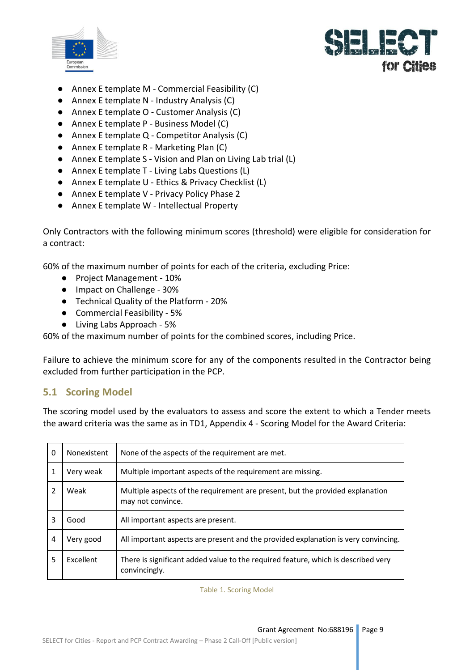



- Annex E template M Commercial Feasibility (C)
- Annex E template N Industry Analysis (C)
- Annex E template O Customer Analysis (C)
- Annex E template P Business Model (C)
- Annex E template Q Competitor Analysis (C)
- Annex E template R Marketing Plan (C)
- Annex E template S Vision and Plan on Living Lab trial (L)
- Annex E template T Living Labs Questions (L)
- Annex E template U Ethics & Privacy Checklist (L)
- Annex E template V Privacy Policy Phase 2
- Annex E template W Intellectual Property

Only Contractors with the following minimum scores (threshold) were eligible for consideration for a contract:

60% of the maximum number of points for each of the criteria, excluding Price:

- Project Management 10%
- Impact on Challenge 30%
- Technical Quality of the Platform 20%
- Commercial Feasibility 5%
- Living Labs Approach 5%

60% of the maximum number of points for the combined scores, including Price.

Failure to achieve the minimum score for any of the components resulted in the Contractor being excluded from further participation in the PCP.

#### **5.1 Scoring Model**

The scoring model used by the evaluators to assess and score the extent to which a Tender meets the award criteria was the same as in TD1, Appendix 4 - Scoring Model for the Award Criteria:

| 0 | Nonexistent      | None of the aspects of the requirement are met.                                                    |
|---|------------------|----------------------------------------------------------------------------------------------------|
|   | Very weak        | Multiple important aspects of the requirement are missing.                                         |
|   | Weak             | Multiple aspects of the requirement are present, but the provided explanation<br>may not convince. |
| 3 | Good             | All important aspects are present.                                                                 |
| 4 | Very good        | All important aspects are present and the provided explanation is very convincing.                 |
| 5 | <b>Fxcellent</b> | There is significant added value to the required feature, which is described very<br>convincingly. |

Table 1. Scoring Model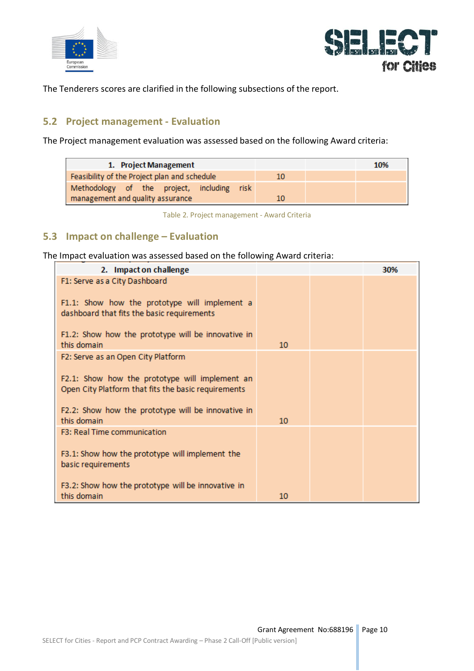



The Tenderers scores are clarified in the following subsections of the report.

#### **5.2 Project management - Evaluation**

The Project management evaluation was assessed based on the following Award criteria:

| 1. Project Management                        |    | 10% |
|----------------------------------------------|----|-----|
| Feasibility of the Project plan and schedule | 10 |     |
| Methodology of the project, including risk   |    |     |
| management and quality assurance             | 10 |     |

Table 2. Project management - Award Criteria

#### **5.3 Impact on challenge – Evaluation**

The Impact evaluation was assessed based on the following Award criteria:

| 2. Impact on challenge                                                                                |    | 30% |
|-------------------------------------------------------------------------------------------------------|----|-----|
| F1: Serve as a City Dashboard                                                                         |    |     |
| F1.1: Show how the prototype will implement a<br>dashboard that fits the basic requirements           |    |     |
| F1.2: Show how the prototype will be innovative in<br>this domain                                     | 10 |     |
| F2: Serve as an Open City Platform                                                                    |    |     |
| F2.1: Show how the prototype will implement an<br>Open City Platform that fits the basic requirements |    |     |
| F2.2: Show how the prototype will be innovative in<br>this domain                                     | 10 |     |
| F3: Real Time communication                                                                           |    |     |
| F3.1: Show how the prototype will implement the<br>basic requirements                                 |    |     |
| F3.2: Show how the prototype will be innovative in<br>this domain                                     | 10 |     |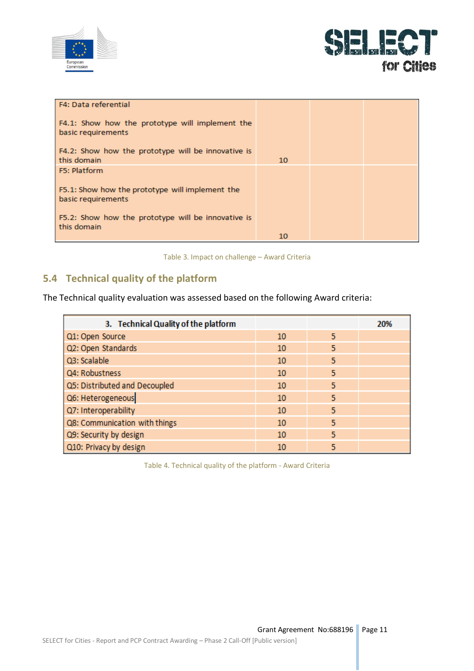



| F4: Data referential                                                  |    |  |
|-----------------------------------------------------------------------|----|--|
| F4.1: Show how the prototype will implement the<br>basic requirements |    |  |
| F4.2: Show how the prototype will be innovative is<br>this domain     | 10 |  |
| <b>F5</b> : Platform                                                  |    |  |
| F5.1: Show how the prototype will implement the<br>basic requirements |    |  |
| F5.2: Show how the prototype will be innovative is<br>this domain     |    |  |
|                                                                       | 10 |  |

Table 3. Impact on challenge – Award Criteria

#### **5.4 Technical quality of the platform**

The Technical quality evaluation was assessed based on the following Award criteria:

| 3. Technical Quality of the platform |    |   | 20% |
|--------------------------------------|----|---|-----|
| Q1: Open Source                      | 10 | 5 |     |
| Q2: Open Standards                   | 10 | 5 |     |
| Q3: Scalable                         | 10 | 5 |     |
| Q4: Robustness                       | 10 | 5 |     |
| Q5: Distributed and Decoupled        | 10 | 5 |     |
| Q6: Heterogeneous                    | 10 | 5 |     |
| Q7: Interoperability                 | 10 | 5 |     |
| Q8: Communication with things        | 10 | 5 |     |
| Q9: Security by design               | 10 | 5 |     |
| Q10: Privacy by design               | 10 | 5 |     |

Table 4. Technical quality of the platform - Award Criteria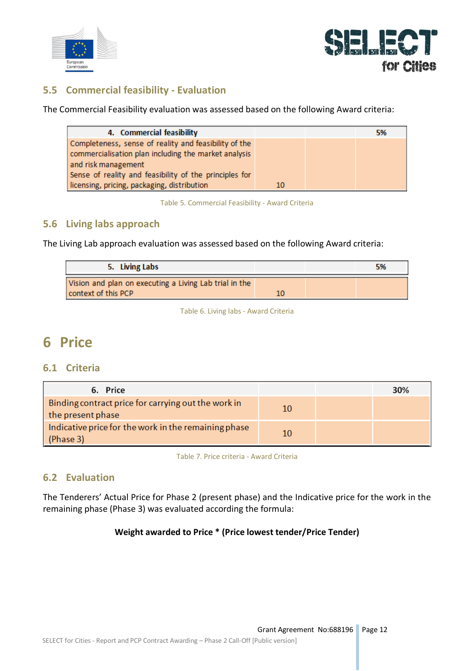



#### **5.5 Commercial feasibility - Evaluation**

The Commercial Feasibility evaluation was assessed based on the following Award criteria:

| 4. Commercial feasibility                              |    | 5% |
|--------------------------------------------------------|----|----|
| Completeness, sense of reality and feasibility of the  |    |    |
| commercialisation plan including the market analysis   |    |    |
| and risk management                                    |    |    |
| Sense of reality and feasibility of the principles for |    |    |
| licensing, pricing, packaging, distribution            | 10 |    |

Table 5. Commercial Feasibility - Award Criteria

#### **5.6 Living labs approach**

The Living Lab approach evaluation was assessed based on the following Award criteria:

| 5. Living Labs                                                                |    | -5% |
|-------------------------------------------------------------------------------|----|-----|
| Vision and plan on executing a Living Lab trial in the<br>context of this PCP | 10 |     |

Table 6. Living labs - Award Criteria

#### **6 Price**

#### **6.1 Criteria**

| 6. Price                                                                 |    | 30% |
|--------------------------------------------------------------------------|----|-----|
| Binding contract price for carrying out the work in<br>the present phase | 10 |     |
| Indicative price for the work in the remaining phase<br>(Phase 3)        | 10 |     |

Table 7. Price criteria - Award Criteria

#### **6.2 Evaluation**

The Tenderers' Actual Price for Phase 2 (present phase) and the Indicative price for the work in the remaining phase (Phase 3) was evaluated according the formula:

#### **Weight awarded to Price \* (Price lowest tender/Price Tender)**